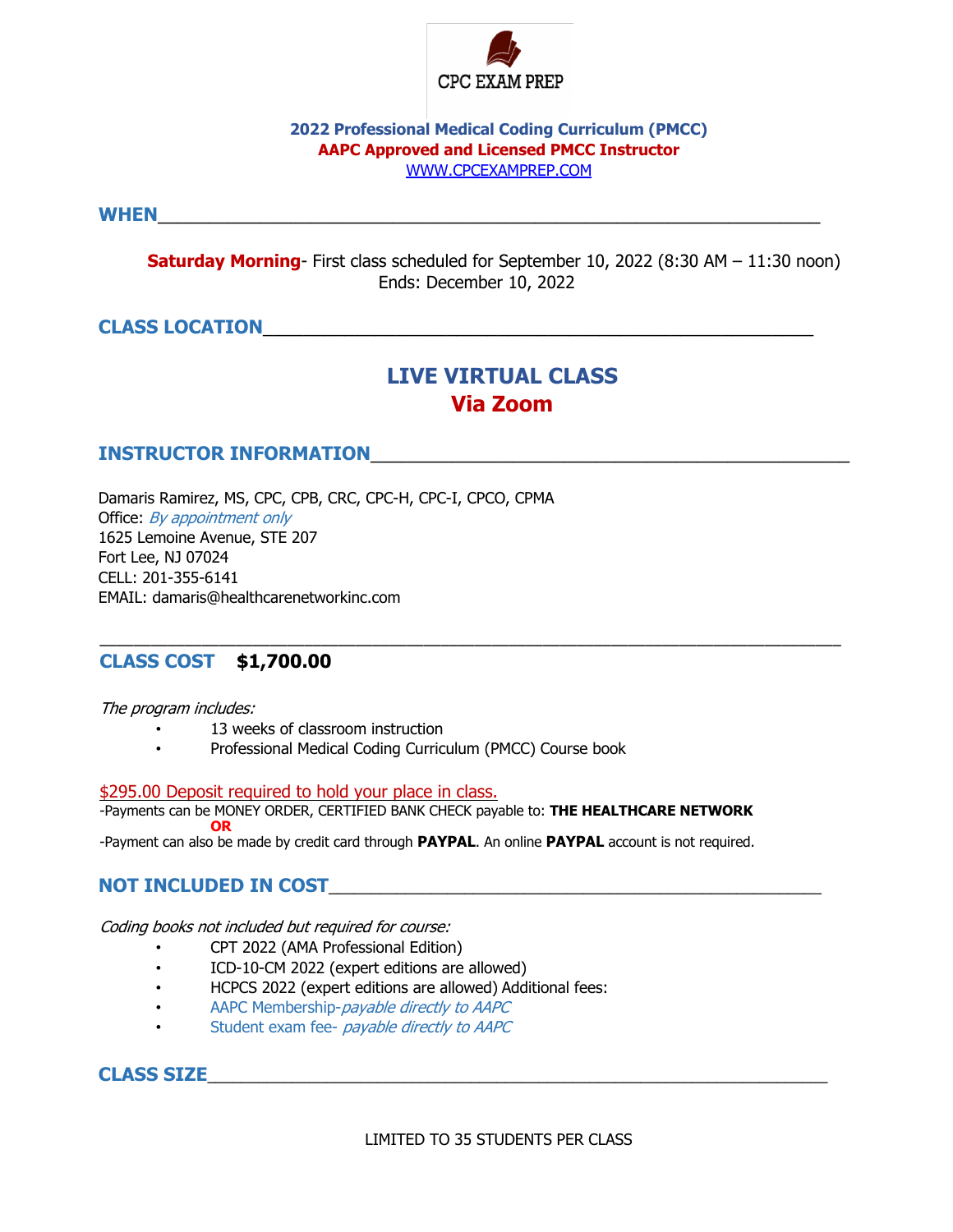

### **2022 Professional Medical Coding Curriculum (PMCC) AAPC Approved and Licensed PMCC Instructor** WWW.CPCEXAMPREP.COM

**WHEN**\_\_\_\_\_\_\_\_\_\_\_\_\_\_\_\_\_\_\_\_\_\_\_\_\_\_\_\_\_\_\_\_\_\_\_\_\_\_\_\_\_\_\_\_\_\_\_\_\_\_\_\_\_\_\_\_\_\_\_\_\_\_\_\_\_

**Saturday Morning**- First class scheduled for September 10, 2022 (8:30 AM – 11:30 noon) Ends: December 10, 2022

# **CLASS LOCATION**\_\_\_\_\_\_\_\_\_\_\_\_\_\_\_\_\_\_\_\_\_\_\_\_\_\_\_\_\_\_\_\_\_\_\_\_\_\_\_\_\_\_\_\_\_\_\_\_\_\_\_\_\_\_

# **LIVE VIRTUAL CLASS Via Zoom**

### **INSTRUCTOR INFORMATION**

Damaris Ramirez, MS, CPC, CPB, CRC, CPC-H, CPC-I, CPCO, CPMA Office: By appointment only 1625 Lemoine Avenue, STE 207 Fort Lee, NJ 07024 CELL: 201-355-6141 EMAIL: damaris@healthcarenetworkinc.com

## **CLASS COST \$1,700.00**

The program includes:

- 13 weeks of classroom instruction
- Professional Medical Coding Curriculum (PMCC) Course book

### \$295.00 Deposit required to hold your place in class.

-Payments can be MONEY ORDER, CERTIFIED BANK CHECK payable to: **THE HEALTHCARE NETWORK OR**

\_\_\_\_\_\_\_\_\_\_\_\_\_\_\_\_\_\_\_\_\_\_\_\_\_\_\_\_\_\_\_\_\_\_\_\_\_\_\_\_\_\_\_\_\_\_\_\_\_\_\_\_\_\_\_\_\_\_\_\_\_\_\_\_\_\_\_\_\_\_\_\_\_\_\_\_\_\_\_\_\_\_\_\_\_\_\_

-Payment can also be made by credit card through **PAYPAL**. An online **PAYPAL** account is not required.

## **NOT INCLUDED IN COST**\_\_\_\_\_\_\_\_\_\_\_\_\_\_\_\_\_\_\_\_\_\_\_\_\_\_\_\_\_\_\_\_\_\_\_\_\_\_\_\_\_\_\_\_\_\_\_\_\_\_\_\_\_\_\_\_\_\_

Coding books not included but required for course:

- CPT 2022 (AMA Professional Edition)
- ICD-10-CM 2022 (expert editions are allowed)
- HCPCS 2022 (expert editions are allowed) Additional fees:
- AAPC Membership-*payable directly to AAPC*
- Student exam fee- payable directly to AAPC

## **CLASS SIZE**\_\_\_\_\_\_\_\_\_\_\_\_\_\_\_\_\_\_\_\_\_\_\_\_\_\_\_\_\_\_\_\_\_\_\_\_\_\_\_\_\_\_\_\_\_\_\_\_\_\_\_\_\_\_\_\_\_\_\_\_\_\_\_\_\_\_\_\_\_\_\_\_\_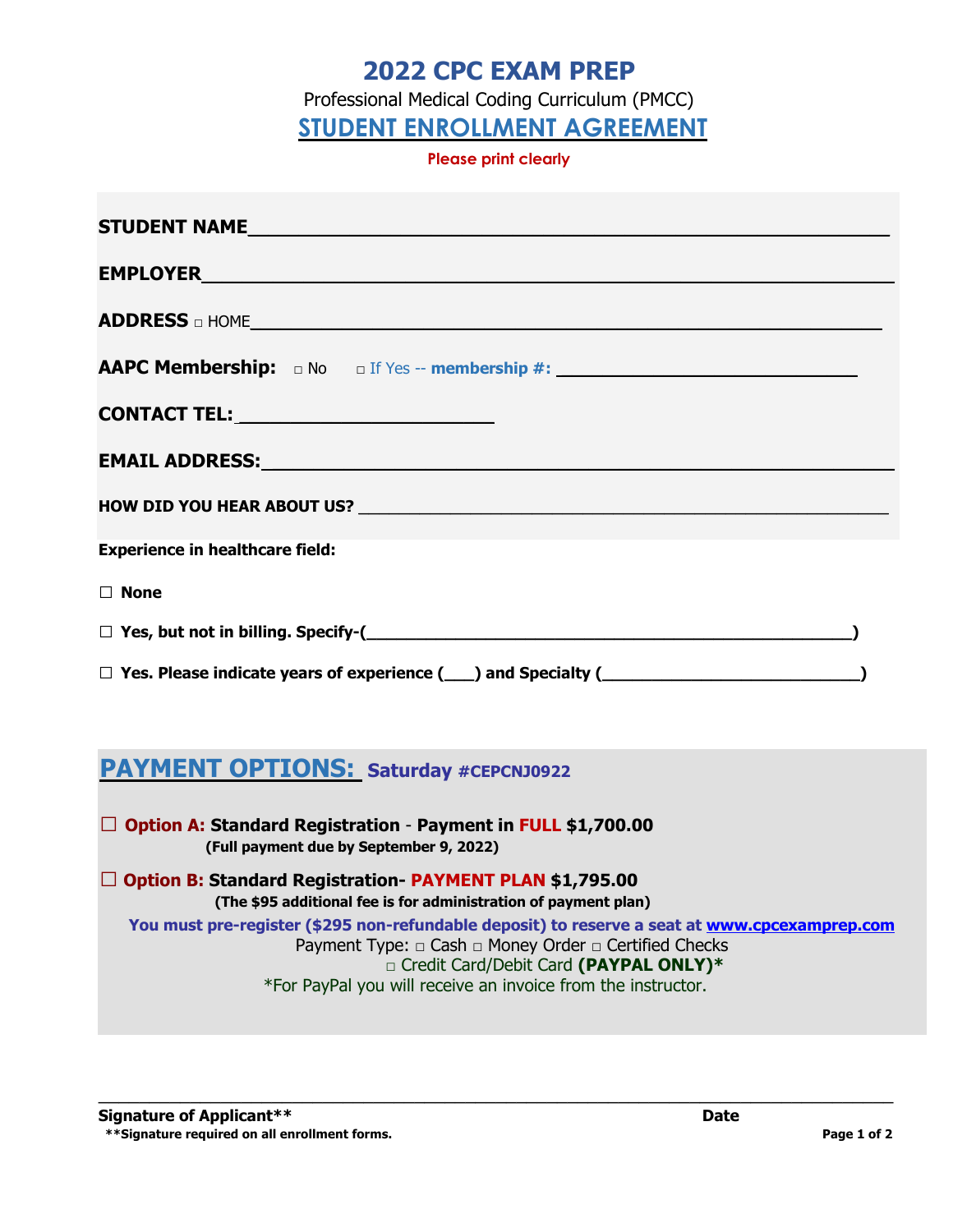# **2022 CPC EXAM PREP**

Professional Medical Coding Curriculum (PMCC)

**STUDENT ENROLLMENT AGREEMENT**

**Please print clearly** 

| STUDENT NAME And the state of the state of the state of the state of the state of the state of the state of the state of the state of the state of the state of the state of the state of the state of the state of the state             |  |
|-------------------------------------------------------------------------------------------------------------------------------------------------------------------------------------------------------------------------------------------|--|
|                                                                                                                                                                                                                                           |  |
| <b>ADDRESS</b> on HOME <b>with the contract of the contract of the contract of the contract of the contract of the contract of the contract of the contract of the contract of the contract of the contract of the contract of the co</b> |  |
|                                                                                                                                                                                                                                           |  |
|                                                                                                                                                                                                                                           |  |
|                                                                                                                                                                                                                                           |  |
|                                                                                                                                                                                                                                           |  |
| <b>Experience in healthcare field:</b>                                                                                                                                                                                                    |  |
| $\Box$ None                                                                                                                                                                                                                               |  |
| $\Box$ Yes, but not in billing. Specify-( $\Box$                                                                                                                                                                                          |  |
|                                                                                                                                                                                                                                           |  |

# **PAYMENT OPTIONS: Saturday #CEPCNJ0922**

**□ Option A: Standard Registration** - **Payment in FULL \$1,700.00 (Full payment due by September 9, 2022)** 

**□ Option B: Standard Registration- PAYMENT PLAN \$1,795.00 (The \$95 additional fee is for administration of payment plan) You must pre-register (\$295 non-refundable deposit) to reserve a seat at www.cpcexamprep.com** Payment Type: □ Cash □ Money Order □ Certified Checks □ Credit Card/Debit Card **(PAYPAL ONLY)\*** \*For PayPal you will receive an invoice from the instructor.

\_\_\_\_\_\_\_\_\_\_\_\_\_\_\_\_\_\_\_\_\_\_\_\_\_\_\_\_\_\_\_\_\_\_\_\_\_\_\_\_\_\_\_\_\_\_\_\_\_\_\_\_\_\_\_\_\_\_\_\_\_\_\_\_\_\_\_\_\_\_\_\_\_\_\_\_\_\_